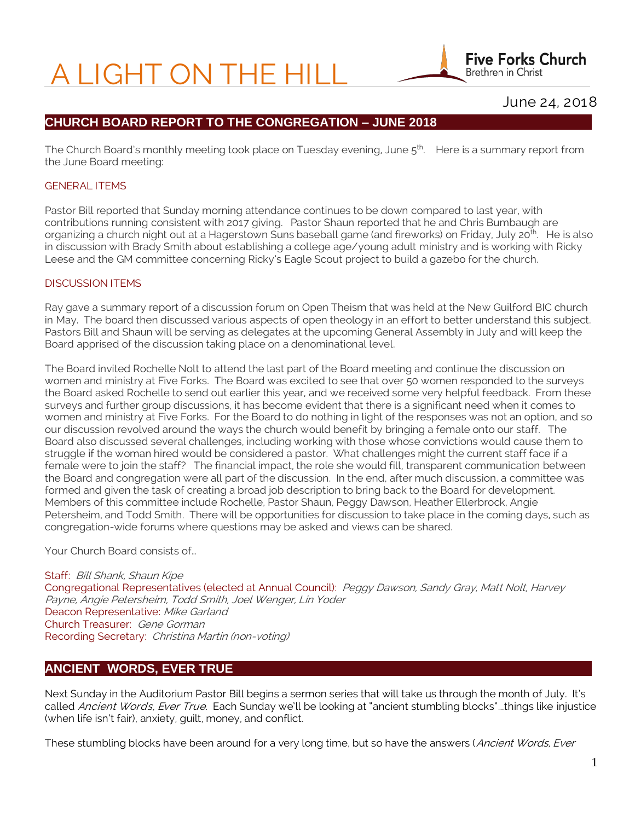# A LIGHT ON THE HILL

**Five Forks Church** Brethren in Christ

# June 24, 2018

# **CHURCH BOARD REPORT TO THE CONGREGATION – JUNE 2018**

The Church Board's monthly meeting took place on Tuesday evening, June  $5^{\text{th}}$  Here is a summary report from the June Board meeting:

#### GENERAL ITEMS

Pastor Bill reported that Sunday morning attendance continues to be down compared to last year, with contributions running consistent with 2017 giving. Pastor Shaun reported that he and Chris Bumbaugh are organizing a church night out at a Hagerstown Suns baseball game (and fireworks) on Friday, July 20<sup>th</sup>. He is also in discussion with Brady Smith about establishing a college age/young adult ministry and is working with Ricky Leese and the GM committee concerning Ricky's Eagle Scout project to build a gazebo for the church.

#### DISCUSSION ITEMS

Ray gave a summary report of a discussion forum on Open Theism that was held at the New Guilford BIC church in May. The board then discussed various aspects of open theology in an effort to better understand this subject. Pastors Bill and Shaun will be serving as delegates at the upcoming General Assembly in July and will keep the Board apprised of the discussion taking place on a denominational level.

The Board invited Rochelle Nolt to attend the last part of the Board meeting and continue the discussion on women and ministry at Five Forks. The Board was excited to see that over 50 women responded to the surveys the Board asked Rochelle to send out earlier this year, and we received some very helpful feedback. From these surveys and further group discussions, it has become evident that there is a significant need when it comes to women and ministry at Five Forks. For the Board to do nothing in light of the responses was not an option, and so our discussion revolved around the ways the church would benefit by bringing a female onto our staff. The Board also discussed several challenges, including working with those whose convictions would cause them to struggle if the woman hired would be considered a pastor. What challenges might the current staff face if a female were to join the staff? The financial impact, the role she would fill, transparent communication between the Board and congregation were all part of the discussion. In the end, after much discussion, a committee was formed and given the task of creating a broad job description to bring back to the Board for development. Members of this committee include Rochelle, Pastor Shaun, Peggy Dawson, Heather Ellerbrock, Angie Petersheim, and Todd Smith. There will be opportunities for discussion to take place in the coming days, such as congregation-wide forums where questions may be asked and views can be shared.

Your Church Board consists of…

Staff: Bill Shank, Shaun Kipe Congregational Representatives (elected at Annual Council): Peggy Dawson, Sandy Gray, Matt Nolt, Harvey Payne, Angie Petersheim, Todd Smith, Joel Wenger, Lin Yoder Deacon Representative: Mike Garland Church Treasurer: Gene Gorman Recording Secretary: Christina Martin (non-voting)

# **ANCIENT WORDS, EVER TRUE**

Next Sunday in the Auditorium Pastor Bill begins a sermon series that will take us through the month of July. It's called Ancient Words, Ever True. Each Sunday we'll be looking at "ancient stumbling blocks"...things like injustice (when life isn't fair), anxiety, guilt, money, and conflict.

These stumbling blocks have been around for a very long time, but so have the answers (Ancient Words, Ever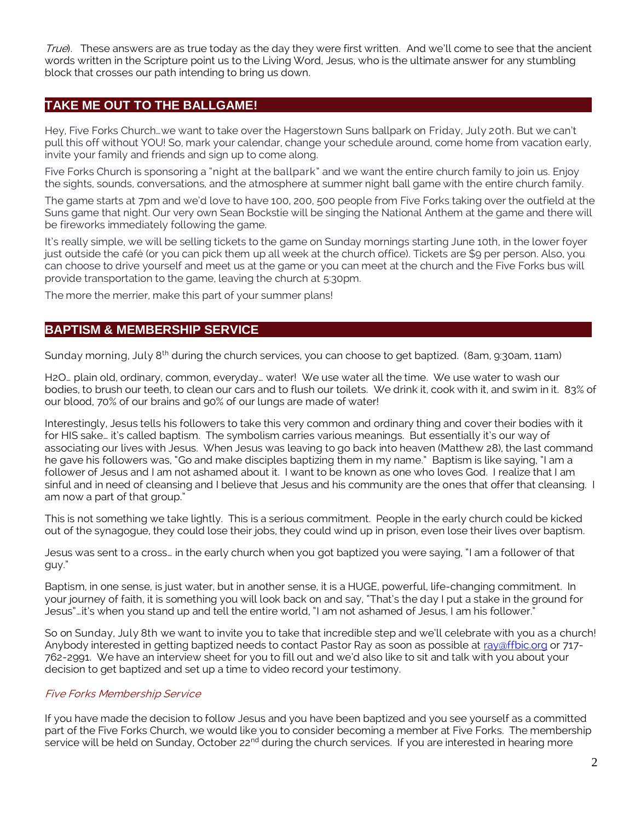True). These answers are as true today as the day they were first written. And we'll come to see that the ancient words written in the Scripture point us to the Living Word, Jesus, who is the ultimate answer for any stumbling block that crosses our path intending to bring us down.

## **TAKE ME OUT TO THE BALLGAME!**

Hey, Five Forks Church…we want to take over the Hagerstown Suns ballpark on Friday, July 20th. But we can't pull this off without YOU! So, mark your calendar, change your schedule around, come home from vacation early, invite your family and friends and sign up to come along.

Five Forks Church is sponsoring a "night at the ballpark" and we want the entire church family to join us. Enjoy the sights, sounds, conversations, and the atmosphere at summer night ball game with the entire church family.

The game starts at 7pm and we'd love to have 100, 200, 500 people from Five Forks taking over the outfield at the Suns game that night. Our very own Sean Bockstie will be singing the National Anthem at the game and there will be fireworks immediately following the game.

It's really simple, we will be selling tickets to the game on Sunday mornings starting June 10th, in the lower foyer just outside the café (or you can pick them up all week at the church office). Tickets are \$9 per person. Also, you can choose to drive yourself and meet us at the game or you can meet at the church and the Five Forks bus will provide transportation to the game, leaving the church at 5:30pm.

The more the merrier, make this part of your summer plans!

## **BAPTISM & MEMBERSHIP SERVICE**

Sunday morning, July 8<sup>th</sup> during the church services, you can choose to get baptized. (8am, 9:30am, 11am)

H2O… plain old, ordinary, common, everyday… water! We use water all the time. We use water to wash our bodies, to brush our teeth, to clean our cars and to flush our toilets. We drink it, cook with it, and swim in it. 83% of our blood, 70% of our brains and 90% of our lungs are made of water!

Interestingly, Jesus tells his followers to take this very common and ordinary thing and cover their bodies with it for HIS sake… it's called baptism. The symbolism carries various meanings. But essentially it's our way of associating our lives with Jesus. When Jesus was leaving to go back into heaven (Matthew 28), the last command he gave his followers was, "Go and make disciples baptizing them in my name." Baptism is like saying, "I am a follower of Jesus and I am not ashamed about it. I want to be known as one who loves God. I realize that I am sinful and in need of cleansing and I believe that Jesus and his community are the ones that offer that cleansing. I am now a part of that group."

This is not something we take lightly. This is a serious commitment. People in the early church could be kicked out of the synagogue, they could lose their jobs, they could wind up in prison, even lose their lives over baptism.

Jesus was sent to a cross… in the early church when you got baptized you were saying, "I am a follower of that guy."

Baptism, in one sense, is just water, but in another sense, it is a HUGE, powerful, life-changing commitment. In your journey of faith, it is something you will look back on and say, "That's the day I put a stake in the ground for Jesus"…it's when you stand up and tell the entire world, "I am not ashamed of Jesus, I am his follower."

So on Sunday, July 8th we want to invite you to take that incredible step and we'll celebrate with you as a church! Anybody interested in getting baptized needs to contact Pastor Ray as soon as possible at [ray@ffbic.org](mailto:ray@ffbic.org) or 717-762-2991. We have an interview sheet for you to fill out and we'd also like to sit and talk with you about your decision to get baptized and set up a time to video record your testimony.

#### Five Forks Membership Service

If you have made the decision to follow Jesus and you have been baptized and you see yourself as a committed part of the Five Forks Church, we would like you to consider becoming a member at Five Forks. The membership service will be held on Sunday, October 22<sup>nd</sup> during the church services. If you are interested in hearing more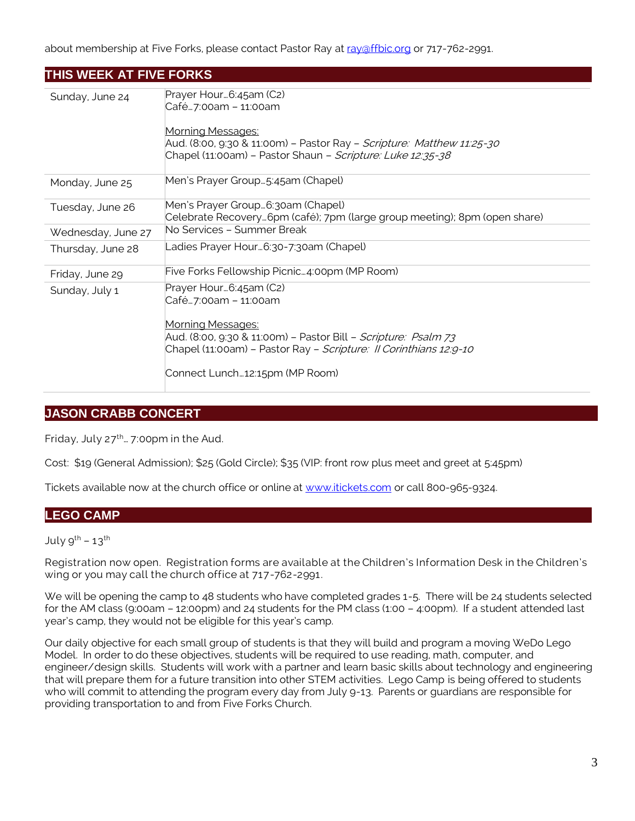about membership at Five Forks, please contact Pastor Ray a[t ray@ffbic.org](mailto:ray@ffbic.org) or 717-762-2991.

| THIS WEEK AT FIVE FORKS |                                                                                                                                                                                                                                                             |  |
|-------------------------|-------------------------------------------------------------------------------------------------------------------------------------------------------------------------------------------------------------------------------------------------------------|--|
| Sunday, June 24         | Prayer Hour 6:45am (C2)<br>Café7:00am - 11:00am<br><u>Morning Messages:</u><br>Aud. (8:00, 9:30 & 11:00m) – Pastor Ray – <i>Scripture: Matthew 11:25-30</i><br>Chapel (11:00am) – Pastor Shaun – <i>Scripture: Luke 12:35-38</i>                            |  |
| Monday, June 25         | Men's Prayer Group5:45am (Chapel)                                                                                                                                                                                                                           |  |
| Tuesday, June 26        | Men's Prayer Group6:30am (Chapel)<br>Celebrate Recovery…6pm (café); 7pm (large group meeting); 8pm (open share)                                                                                                                                             |  |
| Wednesday, June 27      | No Services - Summer Break                                                                                                                                                                                                                                  |  |
| Thursday, June 28       | Ladies Prayer Hour…6:30-7:30am (Chapel)                                                                                                                                                                                                                     |  |
| Friday, June 29         | Five Forks Fellowship Picnic4:00pm (MP Room)                                                                                                                                                                                                                |  |
| Sunday, July 1          | Prayer Hour6:45am (C2)<br>Café7:00am - 11:00am<br><u> Morning Messages:</u><br>Aud. (8:00, 9:30 & 11:00m) – Pastor Bill – <i>Scripture: Psalm 73</i><br>Chapel (11:00am) - Pastor Ray - Scripture: Il Corinthians 12:9-10<br>Connect Lunch12:15pm (MP Room) |  |

# **JASON CRABB CONCERT**

Friday, July  $27^{th}$ ... 7:00pm in the Aud.

Cost: \$19 (General Admission); \$25 (Gold Circle); \$35 (VIP: front row plus meet and greet at 5:45pm)

Tickets available now at the church office or online at [www.itickets.com](http://www.itickets.com/) or call 800-965-9324.

## **LEGO CAMP**

July  $9^{th}$  – 13<sup>th</sup>

Registration now open. Registration forms are available at the Children's Information Desk in the Children's wing or you may call the church office at 717-762-2991.

We will be opening the camp to 48 students who have completed grades 1-5. There will be 24 students selected for the AM class (9:00am – 12:00pm) and 24 students for the PM class (1:00 – 4:00pm). If a student attended last year's camp, they would not be eligible for this year's camp.

Our daily objective for each small group of students is that they will build and program a moving WeDo Lego Model. In order to do these objectives, students will be required to use reading, math, computer, and engineer/design skills. Students will work with a partner and learn basic skills about technology and engineering that will prepare them for a future transition into other STEM activities. Lego Camp is being offered to students who will commit to attending the program every day from July 9-13. Parents or guardians are responsible for providing transportation to and from Five Forks Church.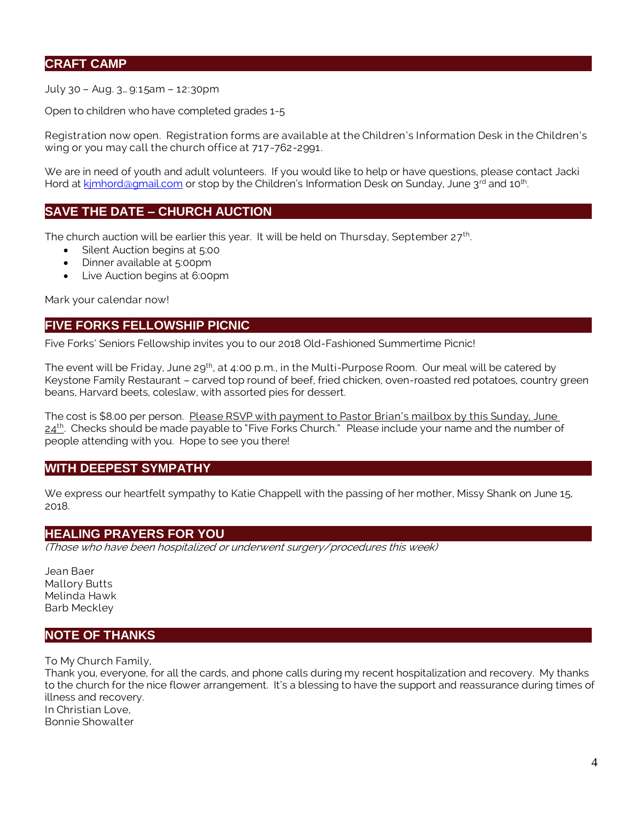## **CRAFT CAMP**

July 30 – Aug. 3… 9:15am – 12:30pm

Open to children who have completed grades 1-5

Registration now open. Registration forms are available at the Children's Information Desk in the Children's wing or you may call the church office at 717-762-2991.

We are in need of youth and adult volunteers. If you would like to help or have questions, please contact Jacki Hord at kimhord@gmail.com or stop by the Children's Information Desk on Sunday, June 3<sup>rd</sup> and 10<sup>th</sup>. .

## **SAVE THE DATE – CHURCH AUCTION**

The church auction will be earlier this year. It will be held on Thursday, September 27<sup>th</sup>.

- Silent Auction begins at 5:00
- Dinner available at 5:00pm
- Live Auction begins at 6:00pm

Mark your calendar now!

## **FIVE FORKS FELLOWSHIP PICNIC**

Five Forks' Seniors Fellowship invites you to our 2018 Old-Fashioned Summertime Picnic!

The event will be Friday, June 29<sup>th</sup>, at 4:00 p.m., in the Multi-Purpose Room. Our meal will be catered by Keystone Family Restaurant – carved top round of beef, fried chicken, oven-roasted red potatoes, country green beans, Harvard beets, coleslaw, with assorted pies for dessert.

The cost is \$8.00 per person. Please RSVP with payment to Pastor Brian's mailbox by this Sunday, June 24<sup>th</sup>. Checks should be made payable to "Five Forks Church." Please include your name and the number of people attending with you. Hope to see you there!

#### **WITH DEEPEST SYMPATHY**

We express our heartfelt sympathy to Katie Chappell with the passing of her mother, Missy Shank on June 15, 2018.

#### **HEALING PRAYERS FOR YOU**

(Those who have been hospitalized or underwent surgery/procedures this week)

Jean Baer Mallory Butts Melinda Hawk Barb Meckley

## **NOTE OF THANKS**

To My Church Family,

Thank you, everyone, for all the cards, and phone calls during my recent hospitalization and recovery. My thanks to the church for the nice flower arrangement. It's a blessing to have the support and reassurance during times of illness and recovery. In Christian Love, Bonnie Showalter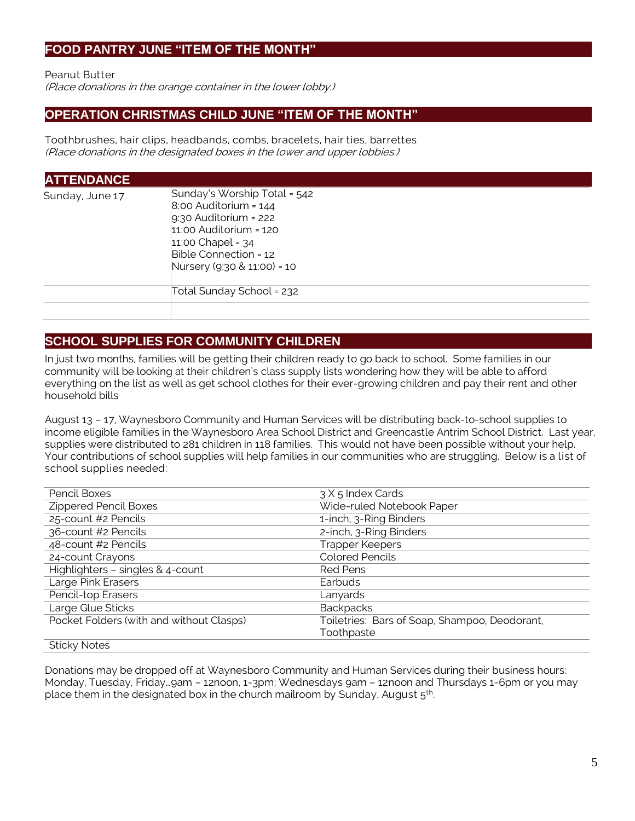## **FOOD PANTRY JUNE "ITEM OF THE MONTH"**

Peanut Butter

(Place donations in the orange container in the lower lobby.)

## **OPERATION CHRISTMAS CHILD JUNE "ITEM OF THE MONTH"**

Toothbrushes, hair clips, headbands, combs, bracelets, hair ties, barrettes (Place donations in the designated boxes in the lower and upper lobbies.)

| <b>ATTENDANCE</b> |                                                                                                                                                                                                   |
|-------------------|---------------------------------------------------------------------------------------------------------------------------------------------------------------------------------------------------|
| Sunday, June 17   | Sunday's Worship Total = 542<br>$8:00$ Auditorium = $144$<br>$9:30$ Auditorium = 222<br>$11.00$ Auditorium = $120$<br>11:00 Chapel = $34$<br>Bible Connection = 12<br>Nursery (9:30 & 11:00) = 10 |
|                   | Total Sunday School = 232                                                                                                                                                                         |
|                   |                                                                                                                                                                                                   |

# **SCHOOL SUPPLIES FOR COMMUNITY CHILDREN**

In just two months, families will be getting their children ready to go back to school. Some families in our community will be looking at their children's class supply lists wondering how they will be able to afford everything on the list as well as get school clothes for their ever-growing children and pay their rent and other household bills

August 13 – 17, Waynesboro Community and Human Services will be distributing back-to-school supplies to income eligible families in the Waynesboro Area School District and Greencastle Antrim School District. Last year, supplies were distributed to 281 children in 118 families. This would not have been possible without your help. Your contributions of school supplies will help families in our communities who are struggling. Below is a list of school supplies needed:

| Pencil Boxes                             | 3 X 5 Index Cards                             |  |  |
|------------------------------------------|-----------------------------------------------|--|--|
| <b>Zippered Pencil Boxes</b>             | Wide-ruled Notebook Paper                     |  |  |
| 25-count #2 Pencils                      | 1-inch, 3-Ring Binders                        |  |  |
| 36-count #2 Pencils                      | 2-inch, 3-Ring Binders                        |  |  |
| 48-count #2 Pencils                      | <b>Trapper Keepers</b>                        |  |  |
| 24-count Crayons                         | <b>Colored Pencils</b>                        |  |  |
| Highlighters - singles & 4-count         | <b>Red Pens</b>                               |  |  |
| Large Pink Erasers                       | Earbuds                                       |  |  |
| Pencil-top Erasers                       | Lanyards                                      |  |  |
| Large Glue Sticks                        | <b>Backpacks</b>                              |  |  |
| Pocket Folders (with and without Clasps) | Toiletries: Bars of Soap, Shampoo, Deodorant, |  |  |
|                                          | Toothpaste                                    |  |  |
| <b>Sticky Notes</b>                      |                                               |  |  |

Donations may be dropped off at Waynesboro Community and Human Services during their business hours: Monday, Tuesday, Friday…9am – 12noon, 1-3pm; Wednesdays 9am – 12noon and Thursdays 1-6pm or you may place them in the designated box in the church mailroom by Sunday, August 5<sup>th</sup>. .